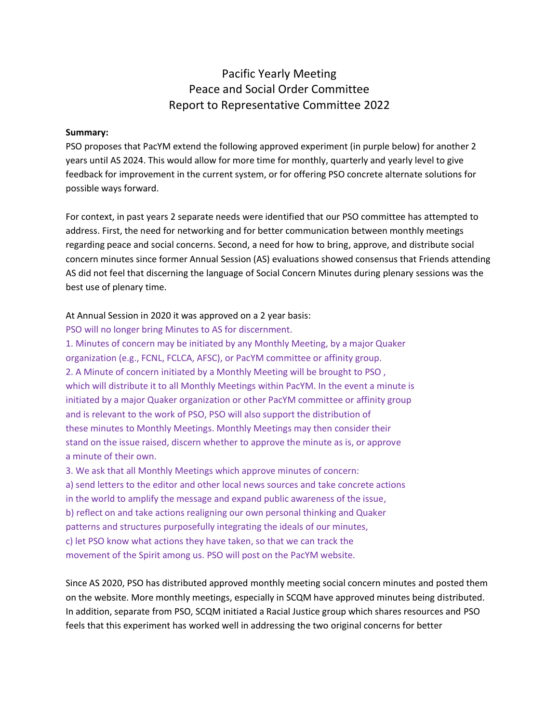# Pacific Yearly Meeting Peace and Social Order Committee Report to Representative Committee 2022

### **Summary:**

PSO proposes that PacYM extend the following approved experiment (in purple below) for another 2 years until AS 2024. This would allow for more time for monthly, quarterly and yearly level to give feedback for improvement in the current system, or for offering PSO concrete alternate solutions for possible ways forward.

For context, in past years 2 separate needs were identified that our PSO committee has attempted to address. First, the need for networking and for better communication between monthly meetings regarding peace and social concerns. Second, a need for how to bring, approve, and distribute social concern minutes since former Annual Session (AS) evaluations showed consensus that Friends attending AS did not feel that discerning the language of Social Concern Minutes during plenary sessions was the best use of plenary time.

### At Annual Session in 2020 it was approved on a 2 year basis:

PSO will no longer bring Minutes to AS for discernment.

1. Minutes of concern may be initiated by any Monthly Meeting, by a major Quaker organization (e.g., FCNL, FCLCA, AFSC), or PacYM committee or affinity group. 2. A Minute of concern initiated by a Monthly Meeting will be brought to PSO , which will distribute it to all Monthly Meetings within PacYM. In the event a minute is initiated by a major Quaker organization or other PacYM committee or affinity group and is relevant to the work of PSO, PSO will also support the distribution of these minutes to Monthly Meetings. Monthly Meetings may then consider their stand on the issue raised, discern whether to approve the minute as is, or approve a minute of their own.

3. We ask that all Monthly Meetings which approve minutes of concern: a) send letters to the editor and other local news sources and take concrete actions in the world to amplify the message and expand public awareness of the issue, b) reflect on and take actions realigning our own personal thinking and Quaker patterns and structures purposefully integrating the ideals of our minutes, c) let PSO know what actions they have taken, so that we can track the movement of the Spirit among us. PSO will post on the PacYM website.

Since AS 2020, PSO has distributed approved monthly meeting social concern minutes and posted them on the website. More monthly meetings, especially in SCQM have approved minutes being distributed. In addition, separate from PSO, SCQM initiated a Racial Justice group which shares resources and PSO feels that this experiment has worked well in addressing the two original concerns for better